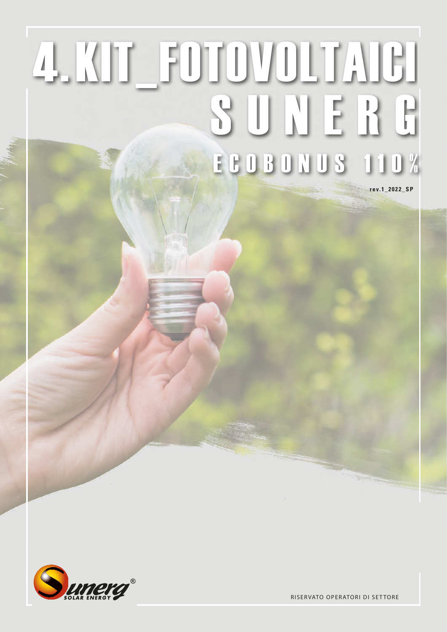## **ECOBONUS 110%**



**RISERVATO OPERATORI DI SETTORE** 

rev.1\_2022\_SP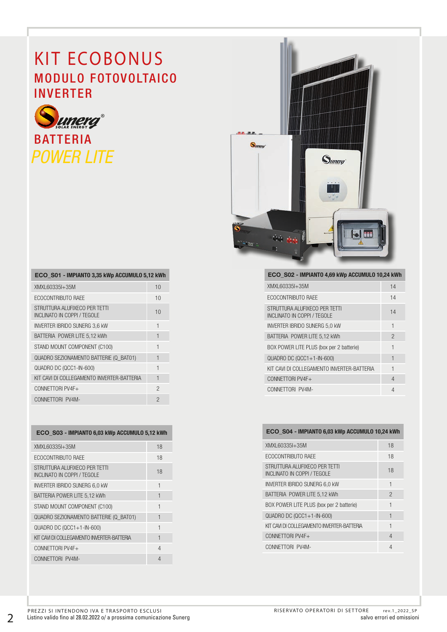## **KIT ECOBONUS** MODULO FOTOVOLTAICO INVERTER



| ECO S01 - IMPIANTO 3,35 kWp ACCUMULO 5,12 kWh                |                |
|--------------------------------------------------------------|----------------|
| XMXL60335I+35M                                               | 10             |
| ECOCONTRIBUTO RAEE                                           | 10             |
| STRUTTURA ALUFIXECO PER TETTI<br>INCLINATO IN COPPI / TEGOLE | 10             |
| <b>INVERTER IBRIDO SUNERG 3.6 KW</b>                         | 1              |
| BATTERIA POWER LITE 5,12 kWh                                 | 1              |
| STAND MOUNT COMPONENT (C100)                                 | 1              |
| QUADRO SEZIONAMENTO BATTERIE (Q BAT01)                       | 1              |
| QUADRO DC (QCC1-IN-600)                                      | 1              |
| KIT CAVI DI COLLEGAMENTO INVERTER-BATTERIA                   | 1              |
| CONNETTORI PV4F+                                             | $\mathfrak{p}$ |
| CONNETTORI PV4M-                                             | $\mathcal{P}$  |

| ECO S03 - IMPIANTO 6,03 kWp ACCUMULO 5,12 kWh                |                |  |  |
|--------------------------------------------------------------|----------------|--|--|
| XMXL60335I+35M                                               | 18             |  |  |
| ECOCONTRIBUTO RAEE                                           | 18             |  |  |
| STRUTTURA ALUFIXECO PER TETTI<br>INCLINATO IN COPPL / TEGOLE | 18             |  |  |
| <b>INVERTER IBRIDO SUNERG 6.0 KW</b>                         | 1              |  |  |
| BATTERIA POWER LITE 5,12 kWh                                 | 1              |  |  |
| STAND MOUNT COMPONENT (C100)                                 | 1              |  |  |
| QUADRO SEZIONAMENTO BATTERIE (Q BATO1)                       | 1              |  |  |
| $QUADRO DC (QCC1+1-IN-600)$                                  | $\mathbf{1}$   |  |  |
| KIT CAVI DI COLLEGAMENTO INVERTER-BATTERIA                   | $\overline{1}$ |  |  |
| CONNETTORI PV4F+                                             | $\overline{4}$ |  |  |
| CONNETTORI PV4M-                                             | 4              |  |  |



| ECO S02 - IMPIANTO 4,69 kWp ACCUMULO 10,24 kWh               |                |
|--------------------------------------------------------------|----------------|
| XMXL60335I+35M                                               | 14             |
| ECOCONTRIBUTO RAFE                                           | 14             |
| STRUTTURA ALUFIXECO PER TETTI<br>INCLINATO IN COPPI / TEGOLE | 14             |
| <b>INVERTER IBRIDO SUNERG 5.0 KW</b>                         | 1              |
| BATTERIA POWER LITE 5,12 kWh                                 | $\mathfrak{p}$ |
| BOX POWER LITE PLUS (box per 2 batterie)                     | 1              |
| $QUADRO DC (QCC1+1-IN-600)$                                  | $\mathbf{1}$   |
| KIT CAVI DI COLLEGAMENTO INVERTER-BATTERIA                   | $\mathbf{1}$   |
| CONNETTORI PV4F+                                             | $\overline{4}$ |
| CONNETTORI PV4M-                                             | 4              |

## ECO\_S04 - IMPIANTO 6,03 kWp ACCUMULO 10,24 kWh

| XMXL60335I+35M                                               | 18             |
|--------------------------------------------------------------|----------------|
| ECOCONTRIBUTO RAEE                                           | 18             |
| STRUTTURA ALUFIXECO PER TETTI<br>INCLINATO IN COPPI / TEGOLE | 18             |
| <b>INVERTER IBRIDO SUNERG 6,0 KW</b>                         | 1              |
| BATTERIA POWER LITE 5.12 kWh                                 | $\mathfrak{p}$ |
| BOX POWER LITE PLUS (box per 2 batterie)                     | 1              |
| $QUADRO DC (QCC1+1-IN-600)$                                  | 1              |
| KIT CAVI DI COLLEGAMENTO INVERTER-BATTERIA                   | 1              |
| CONNETTORI PV4F+                                             | 4              |
| CONNETTORI PV4M-                                             | 4              |

2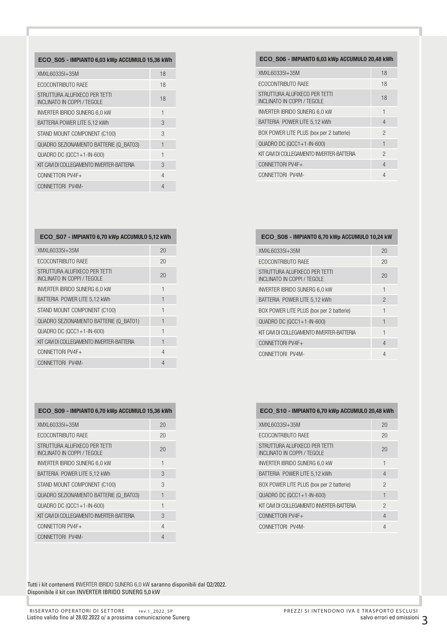| ECO S05 - IMPIANTO 6,03 kWp ACCUMULO 15,36 kWh               |                |
|--------------------------------------------------------------|----------------|
| XMXL60335I+35M                                               | 18             |
| ECOCONTRIBUTO RAEE                                           | 18             |
| STRUTTURA ALUFIXECO PER TETTI<br>INCLINATO IN COPPI / TEGOLE | 18             |
| <b>INVERTER IBRIDO SUNERG 6.0 KW</b>                         | 1              |
| BATTERIA POWER LITE 5,12 kWh                                 | 3              |
| STAND MOUNT COMPONENT (C100)                                 | 3              |
| QUADRO SEZIONAMENTO BATTERIE (Q BATO3)                       | 1              |
| QUADRO DC (QCC1+1-IN-600)                                    | $\overline{1}$ |
| KIT CAVI DI COLLEGAMENTO INVERTER-BATTERIA                   | 3              |
| CONNETTORI PV4F+                                             | 4              |
| CONNETTORI PV4M-                                             | 4              |

| ECO S07 - IMPIANTO 6,70 kWp ACCUMULO 5,12 kWh                |                |
|--------------------------------------------------------------|----------------|
| XMXL60335I+35M                                               | 20             |
| ECOCONTRIBUTO RAEE                                           | 20             |
| STRUTTURA ALUFIXECO PER TETTI<br>INCLINATO IN COPPI / TEGOLE | 20             |
| <b>INVERTER IBRIDO SUNERG 6.0 KW</b>                         | 1              |
| BATTERIA POWER LITE 5,12 kWh                                 | 1              |
| STAND MOUNT COMPONENT (C100)                                 | 1              |
| QUADRO SEZIONAMENTO BATTERIE (Q BAT01)                       | 1              |
| $QUADRO DC (QCC1+1-IN-600)$                                  | 1              |
| KIT CAVI DI COLLEGAMENTO INVERTER-BATTERIA                   | 1              |
| CONNETTORI PV4F+                                             | 4              |
| CONNETTORI PV4M-                                             | $\overline{4}$ |

| ECO S09 - IMPIANTO 6,70 kWp ACCUMULO 15,36 kWh               |                |  |  |
|--------------------------------------------------------------|----------------|--|--|
| XMXL60335I+35M                                               | 20             |  |  |
| ECOCONTRIBUTO RAEE                                           | 20             |  |  |
| STRUTTURA ALUFIXECO PER TETTI<br>INCLINATO IN COPPI / TEGOLE | 20             |  |  |
| <b>INVERTER IBRIDO SUNERG 6,0 KW</b>                         | 1              |  |  |
| BATTERIA POWER LITE 5,12 kWh                                 | 3              |  |  |
| STAND MOUNT COMPONENT (C100)                                 | 3              |  |  |
| QUADRO SEZIONAMENTO BATTERIE (Q BATO3)                       | 1              |  |  |
| QUADRO DC (QCC1+1-IN-600)                                    | $\overline{1}$ |  |  |
| KIT CAVI DI COLLEGAMENTO INVERTER-BATTERIA                   | 3              |  |  |
| CONNETTORI PV4F+                                             | 4              |  |  |
| CONNETTORI PV4M-                                             | 4              |  |  |

Tutti i kit contenenti INVERTER IBRIDO SUNERG 6,0 kW saranno disponibili dal Q2/2022. Disponibile il kit con INVERTER IBRIDO SUNERG 5,0 kW

|  | XMXL60335I+35M                                               | 18             |
|--|--------------------------------------------------------------|----------------|
|  | ECOCONTRIBUTO RAFE                                           | 18             |
|  | STRUTTURA ALUFIXECO PER TETTI<br>INCLINATO IN COPPI / TEGOLE | 18             |
|  | INVERTER IBRIDO SUNERG 6,0 KW                                | 1              |
|  | BATTERIA POWER LITE 5,12 kWh                                 | 4              |
|  | BOX POWER LITE PLUS (box per 2 batterie)                     | $\overline{c}$ |
|  | $QUADRO DC (QCC1+1-IN-600)$                                  | 1              |
|  | KIT CAVI DI COLLEGAMENTO INVERTER-BATTERIA                   | $\mathcal{P}$  |
|  | CONNETTORI PV4F+                                             | 4              |
|  | CONNETTORI PV4M-                                             | 4              |
|  |                                                              |                |
|  |                                                              |                |
|  |                                                              |                |

ECO\_S06 - IMPIANTO 6,03 kWp ACCUMULO 20,48 kWh

| ECO S08 - IMPIANTO 6,70 kWp ACCUMULO 10,24 kW                |                |  |  |
|--------------------------------------------------------------|----------------|--|--|
| XMXL60335I+35M                                               | 20             |  |  |
| ECOCONTRIBUTO RAEE                                           | 20             |  |  |
| STRUTTURA ALUFIXECO PER TETTI<br>INCLINATO IN COPPI / TEGOLE | 20             |  |  |
| <b>INVERTER IBRIDO SUNERG 6,0 KW</b>                         | 1              |  |  |
| BATTERIA POWER LITE 5,12 kWh                                 | $\mathfrak{D}$ |  |  |
| BOX POWER LITE PLUS (box per 2 batterie)                     | 1              |  |  |
| QUADRO DC (QCC1+1-IN-600)                                    | 1              |  |  |
| KIT CAVI DI COLLEGAMENTO INVERTER-BATTERIA                   | 1              |  |  |
| CONNETTORI PV4F+                                             | 4              |  |  |
| CONNETTORI PV4M-                                             | 4              |  |  |

|  |  | ECO_S10 - IMPIANTO 6,70 kWp ACCUMULO 20,48 kWh |  |
|--|--|------------------------------------------------|--|
|  |  |                                                |  |

| XMXL60335I+35M                                               | 20             |
|--------------------------------------------------------------|----------------|
| ECOCONTRIBUTO RAFE                                           | 20             |
| STRUTTURA ALUFIXECO PER TETTI<br>INCLINATO IN COPPI / TEGOLE | 20             |
| <b>INVERTER IBRIDO SUNERG 6,0 KW</b>                         | 1              |
| BATTERIA POWER LITE 5,12 kWh                                 | 4              |
| BOX POWER LITE PLUS (box per 2 batterie)                     | $\mathfrak{p}$ |
| $QUADRO DC (QCC1+1-IN-600)$                                  | 1              |
| KIT CAVI DI COLLEGAMENTO INVERTER-BATTERIA                   | $\mathfrak{p}$ |
| CONNETTORI PV4F+                                             | 4              |
| CONNETTORI PV4M-                                             | $\overline{4}$ |